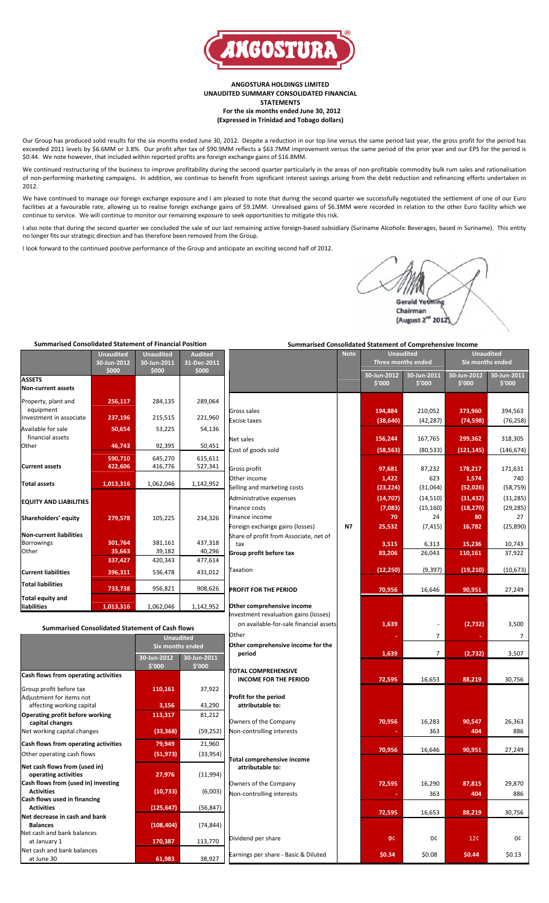

**ANGOSTURA HOLDINGS LIMITED UNAUDITED SUMMARY CONSOLIDATED FINANCIAL STATEMENTS For the six months ended June 30, 2012 (Expressed in Trinidad and Tobago dollars)**

Our Group has produced solid results for the six months ended June 30, 2012. Despite a reduction in our top line versus the same period last year, the gross profit for the period has exceeded 2011 levels by \$6.6MM or 3.8%. Our profit after tax of \$90.9MM reflects a \$63.7MM improvement versus the same period of the prior year and our EPS for the period is \$0.44. We note however, that included within reported profits are foreign exchange gains of \$16.8MM.

We continued restructuring of the business to improve profitability during the second quarter particularly in the areas of non‐profitable commodity bulk rum sales and rationalisation of non-performing marketing campaigns. In addition, we continue to benefit from significant interest savings arising from the debt reduction and refinancing efforts undertaken in 2012.

We have continued to manage our foreign exchange exposure and I am pleased to note that during the second quarter we successfully negotiated the settlement of one of our Euro facilities at a favourable rate, allowing us to realise foreign exchange gains of \$9.1MM. Unrealised gains of \$6.3MM were recorded in relation to the other Euro facility which we continue to service. We will continue to monitor our remaining exposure to seek opportunities to mitigate this risk.

I also note that during the second quarter we concluded the sale of our last remaining active foreign‐based subsidiary (Suriname Alcoholic Beverages, based in Suriname). This entity no longer fits our strategic direction and has therefore been removed from the Group.

I look forward to the continued positive performance of the Group and anticipate an exciting second half of 2012.

Gerald Yetmi Chairman (August 2<sup>nd</sup> 2012

**Note Unaudited Unaudited**

# **Summarised Consolidated Statement of Financial Position**

|                                                              | <b>Unaudited</b><br>30-Jun-2012<br>\$000 | <b>Unaudited</b><br>30-Jun-2011<br>\$000 | <b>Audited</b><br>31-Dec-2011<br>\$000 |                                                                                             |
|--------------------------------------------------------------|------------------------------------------|------------------------------------------|----------------------------------------|---------------------------------------------------------------------------------------------|
| <b>ASSETS</b><br><b>Non-current assets</b>                   |                                          |                                          |                                        |                                                                                             |
| Property, plant and<br>equipment<br>Investment in associate  | 256,117<br>237,196                       | 284,135<br>215,515                       | 289,064<br>221,960                     | Gross sales                                                                                 |
| Available for sale<br>financial assets<br>Other              | 50,654<br>46,743                         | 53,225<br>92,395                         | 54,136<br>50,451                       | <b>Excise taxes</b><br>Net sales                                                            |
| <b>Current assets</b>                                        | 590,710<br>422,606                       | 645,270<br>416,776                       | 615,611<br>527,341                     | Cost of goods sold<br>Gross profit                                                          |
| <b>Total assets</b>                                          | 1,013,316                                | 1,062,046                                | 1,142,952                              | Other income<br>Selling and marketing costs                                                 |
| <b>EQUITY AND LIABILITIES</b><br>Shareholders' equity        | 279,578                                  | 105,225                                  | 234,326                                | Administrative expenses<br>Finance costs<br>Finance income<br>Foreign exchange gains (losse |
| <b>Non-current liabilities</b><br><b>Borrowings</b><br>Other | 301.764<br>35,663<br>337,427             | 381,161<br>39,182<br>420,343             | 437,318<br>40,296<br>477,614           | Share of profit from Associat<br>tax<br>Group profit before tax                             |
| <b>Current liabilities</b><br><b>Total liabilities</b>       | 396,311                                  | 536,478                                  | 431,012                                | Taxation                                                                                    |
| Total equity and<br>liabilities                              | 733,738<br>1,013,316                     | 956,821<br>1,062,046                     | 908,626<br>1,142,952                   | <b>PROFIT FOR THE PERIOD</b><br>Other comprehensive incom                                   |

| <b>Summarised Consolidated Statement of Cash flows</b>   | on available-for-sale finar |                       |                                                            |  |  |  |
|----------------------------------------------------------|-----------------------------|-----------------------|------------------------------------------------------------|--|--|--|
|                                                          | <b>Unaudited</b>            |                       | Other                                                      |  |  |  |
|                                                          | <b>Six months ended</b>     |                       | Other comprehensive incom                                  |  |  |  |
|                                                          | 30-Jun-2012<br>\$'000       | 30-Jun-2011<br>\$'000 | period                                                     |  |  |  |
| Cash flows from operating activities                     |                             |                       | <b>TOTAL COMPREHENSIVE</b><br><b>INCOME FOR THE PERIOD</b> |  |  |  |
| Group profit before tax                                  | 110,161                     | 37,922                |                                                            |  |  |  |
| Adjustment for items not                                 |                             |                       | Profit for the period                                      |  |  |  |
| affecting working capital                                | 3,156                       | 43,290                | attributable to:                                           |  |  |  |
| Operating profit before working<br>capital changes       | 113,317                     | 81,212                | Owners of the Company                                      |  |  |  |
| Net working capital changes                              | (33, 368)                   | (59, 252)             | Non-controlling interests                                  |  |  |  |
| Cash flows from operating activities                     | 79,949                      | 21,960                |                                                            |  |  |  |
| Other operating cash flows                               | (51, 973)                   | (33, 954)             |                                                            |  |  |  |
| Net cash flows from (used in)<br>operating activities    | 27,976                      | (11,994)              | Total comprehensive income<br>attributable to:             |  |  |  |
| Cash flows from (used in) investing<br><b>Activities</b> | (10, 733)                   | (6,003)               | Owners of the Company<br>Non-controlling interests         |  |  |  |
| Cash flows used in financing<br><b>Activities</b>        | (125, 647)                  | (56, 847)             |                                                            |  |  |  |
| Net decrease in cash and bank<br><b>Balances</b>         | (108, 404)                  | (74, 844)             |                                                            |  |  |  |
| Net cash and bank balances<br>at January 1               | 170,387                     | 113,770               | Dividend per share                                         |  |  |  |
| Net cash and bank balances<br>at June 30                 | 61,983                      | 38,927                | Earnings per share - Basic & I                             |  |  |  |

## **Summarised Consolidated Statement of Comprehensive Income**

|                                                     |           | <b>Three months ended</b> |                       | Six months ended      |                       |  |  |
|-----------------------------------------------------|-----------|---------------------------|-----------------------|-----------------------|-----------------------|--|--|
|                                                     |           | 30-Jun-2012<br>\$'000     | 30-Jun-2011<br>\$'000 | 30-Jun-2012<br>\$'000 | 30-Jun-2011<br>\$'000 |  |  |
|                                                     |           |                           |                       |                       |                       |  |  |
| Gross sales                                         |           | 194,884                   | 210,052               | 373,960               | 394,563               |  |  |
| <b>Excise taxes</b>                                 |           | (38, 640)                 | (42, 287)             | (74, 598)             | (76, 258)             |  |  |
| Net sales                                           |           | 156,244                   | 167,765               | 299,362               | 318,305               |  |  |
| Cost of goods sold                                  |           | (58, 563)                 | (80, 533)             | (121, 145)            | (146, 674)            |  |  |
|                                                     |           |                           |                       |                       |                       |  |  |
| Gross profit                                        |           | 97,681                    | 87,232                | 178,217               | 171,631               |  |  |
| Other income                                        |           | 1,422                     | 623                   | 1,574                 | 740                   |  |  |
| Selling and marketing costs                         |           | (23, 224)                 | (31,064)              | (52,026)              | (58, 759)             |  |  |
| Administrative expenses                             |           | (14, 707)                 | (14, 510)             | (31, 432)             | (31, 285)             |  |  |
| <b>Finance costs</b>                                |           | (7,083)                   | (15, 160)             | (18, 270)             | (29, 285)             |  |  |
| Finance income                                      |           | 70                        | 24                    | 80                    | 27                    |  |  |
| Foreign exchange gains (losses)                     | <b>N7</b> | 25,532                    | (7, 415)              | 16,782                | (25,890)              |  |  |
| Share of profit from Associate, net of              |           |                           |                       |                       |                       |  |  |
| tax                                                 |           | 3,515                     | 6,313<br>26,043       | 15,236                | 10,743                |  |  |
| Group profit before tax                             |           | 83,206                    |                       | 110,161               | 37,922                |  |  |
| Taxation                                            |           | (12, 250)                 | (9, 397)              | (19, 210)             | (10,673)              |  |  |
| PROFIT FOR THE PERIOD                               |           | 70,956                    | 16,646                | 90,951                | 27,249                |  |  |
| Other comprehensive income                          |           |                           |                       |                       |                       |  |  |
| Investment revaluation gains (losses)               |           |                           |                       |                       |                       |  |  |
| on available-for-sale financial assets              |           | 1,639                     |                       | (2,732)               | 3,500                 |  |  |
| Other                                               |           |                           | 7                     |                       | 7                     |  |  |
|                                                     |           |                           |                       |                       |                       |  |  |
| Other comprehensive income for the<br>period        |           | 1,639                     | 7                     | (2,732)               | 3,507                 |  |  |
|                                                     |           |                           |                       |                       |                       |  |  |
| TOTAL COMPREHENSIVE<br><b>INCOME FOR THE PERIOD</b> |           | 72,595                    | 16,653                | 88,219                | 30,756                |  |  |
|                                                     |           |                           |                       |                       |                       |  |  |
| Profit for the period<br>attributable to:           |           |                           |                       |                       |                       |  |  |
|                                                     |           |                           |                       |                       |                       |  |  |
| Owners of the Company                               |           | 70,956                    | 16,283                | 90,547                | 26,363                |  |  |
| Non-controlling interests                           |           |                           | 363                   | 404                   | 886                   |  |  |
|                                                     |           | 70,956                    | 16,646                | 90,951                | 27,249                |  |  |
| Total comprehensive income<br>attributable to:      |           |                           |                       |                       |                       |  |  |
| Owners of the Company                               |           | 72,595                    | 16,290                | 87,815                | 29,870                |  |  |
| Non-controlling interests                           |           |                           | 363                   | 404                   | 886                   |  |  |
|                                                     |           |                           |                       |                       |                       |  |  |
|                                                     |           | 72,595                    | 16,653                | 88,219                | 30,756                |  |  |
|                                                     |           |                           |                       |                       |                       |  |  |
| Dividend per share                                  |           | 0¢                        | 0¢                    | 12 <sub>c</sub>       | 0¢                    |  |  |
|                                                     |           |                           |                       |                       |                       |  |  |